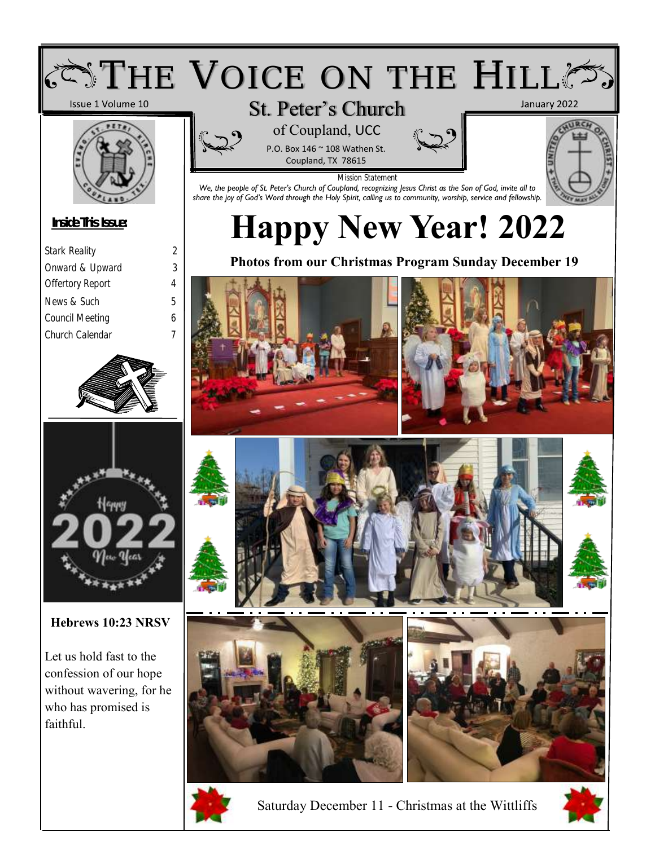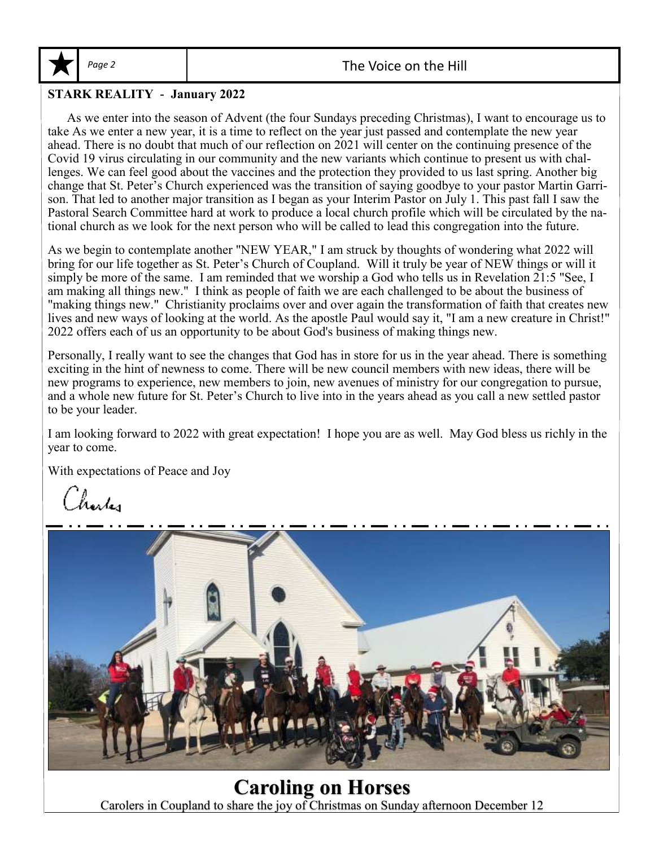

#### Page 2 and 1 and 1 and 2 and 2 and 2 and 2 and 2 and 2 and 2 and 2 and 2 and 2 and 2 and 2 and 2 and 2 and 2 and 2 and 2 and 2 and 2 and 2 and 2 and 2 and 2 and 2 and 2 and 2 and 2 and 2 and 2 and 2 and 2 and 2 and 2 and 2

#### **STARK REALITY - January 2022**

 As we enter into the season of Advent (the four Sundays preceding Christmas), I want to encourage us to take As we enter a new year, it is a time to reflect on the year just passed and contemplate the new year ahead. There is no doubt that much of our reflection on 2021 will center on the continuing presence of the Covid 19 virus circulating in our community and the new variants which continue to present us with challenges. We can feel good about the vaccines and the protection they provided to us last spring. Another big change that St. Peter's Church experienced was the transition of saying goodbye to your pastor Martin Garrison. That led to another major transition as I began as your Interim Pastor on July 1. This past fall I saw the Pastoral Search Committee hard at work to produce a local church profile which will be circulated by the national church as we look for the next person who will be called to lead this congregation into the future.

As we begin to contemplate another "NEW YEAR," I am struck by thoughts of wondering what 2022 will bring for our life together as St. Peter's Church of Coupland. Will it truly be year of NEW things or will it simply be more of the same. I am reminded that we worship a God who tells us in Revelation 21:5 "See, I am making all things new." I think as people of faith we are each challenged to be about the business of "making things new." Christianity proclaims over and over again the transformation of faith that creates new lives and new ways of looking at the world. As the apostle Paul would say it, "I am a new creature in Christ!" 2022 offers each of us an opportunity to be about God's business of making things new.

Personally, I really want to see the changes that God has in store for us in the year ahead. There is something exciting in the hint of newness to come. There will be new council members with new ideas, there will be new programs to experience, new members to join, new avenues of ministry for our congregation to pursue, and a whole new future for St. Peter's Church to live into in the years ahead as you call a new settled pastor to be your leader.

I am looking forward to 2022 with great expectation! I hope you are as well. May God bless us richly in the year to come.

With expectations of Peace and Joy

Charles



**Caroling on Horses** Carolers in Coupland to share the joy of Christmas on Sunday afternoon December 12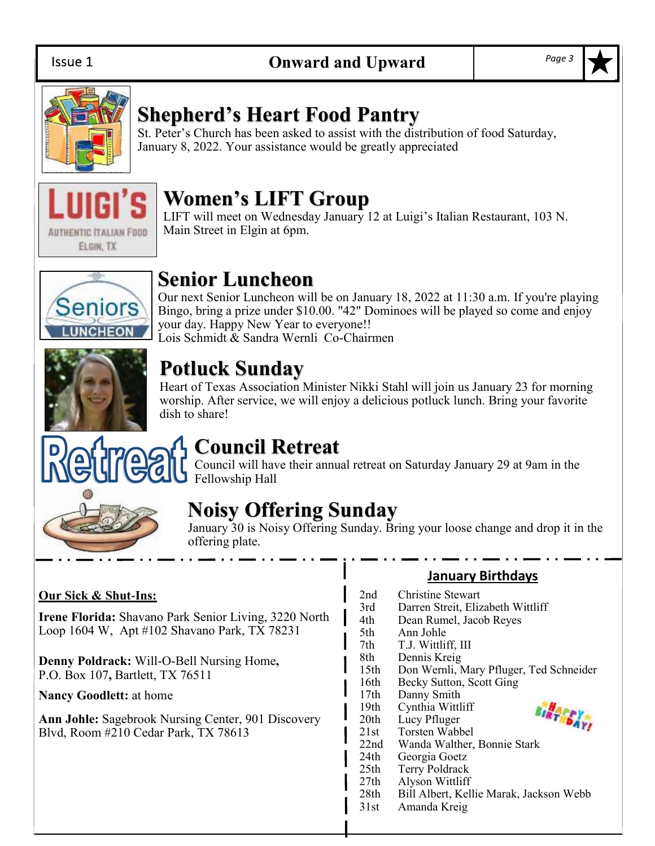

## **Shepherd's Heart Food Pantry**

St. Peter's Church has been asked to assist with the distribution of food Saturday, January 8, 2022. Your assistance would be greatly appreciated



## **Women's LIFT Group**

LIFT will meet on Wednesday January 12 at Luigi's Italian Restaurant, 103 N. Main Street in Elgin at 6pm.



## **Senior Luncheon**

Our next Senior Luncheon will be on January 18, 2022 at 11:30 a.m. If you're playing Bingo, bring a prize under \$10.00. "42" Dominoes will be played so come and enjoy your day. Happy New Year to everyone!! Lois Schmidt & Sandra Wernli Co-Chairmen



## **Potluck Sunday**

Heart of Texas Association Minister Nikki Stahl will join us January 23 for morning worship. After service, we will enjoy a delicious potluck lunch. Bring your favorite dish to share!



## **Council Retreat**

Council will have their annual retreat on Saturday January 29 at 9am in the Fellowship Hall

## **Noisy Offering Sunday**

January 30 is Noisy Offering Sunday. Bring your loose change and drop it in the offering plate.

#### **Our Sick & Shut-Ins:**

**Irene Florida:** Shavano Park Senior Living, 3220 North Loop 1604 W, Apt #102 Shavano Park, TX 78231

**Denny Poldrack:** Will-O-Bell Nursing Home**,**  P.O. Box 107**,** Bartlett, TX 76511

**Nancy Goodlett:** at home

**Ann Johle:** Sagebrook Nursing Center, 901 Discovery Blvd, Room #210 Cedar Park, TX 78613

#### **January Birthdays**

| 2nd  | Christine Stewart                       |
|------|-----------------------------------------|
| 3rd  | Darren Streit, Elizabeth Wittliff       |
| 4th  | Dean Rumel, Jacob Reyes                 |
| 5th  | Ann Johle                               |
| 7th  | T.J. Wittliff, III                      |
| 8th  | Dennis Kreig                            |
| 15th | Don Wernli, Mary Pfluger, Ted Schneider |
| 16th | Becky Sutton, Scott Ging                |
| 17th | Danny Smith                             |
| 19th | Cynthia Wittliff                        |
| 20th | BIRTHDAY!<br>Lucy Pfluger               |
| 21st | Torsten Wabbel                          |
| 22nd | Wanda Walther, Bonnie Stark             |
| 24th | Georgia Goetz                           |
| 25th | Terry Poldrack                          |
| 27th | Alyson Wittliff                         |
| 28th | Bill Albert, Kellie Marak, Jackson Webb |
| 31st | Amanda Kreig                            |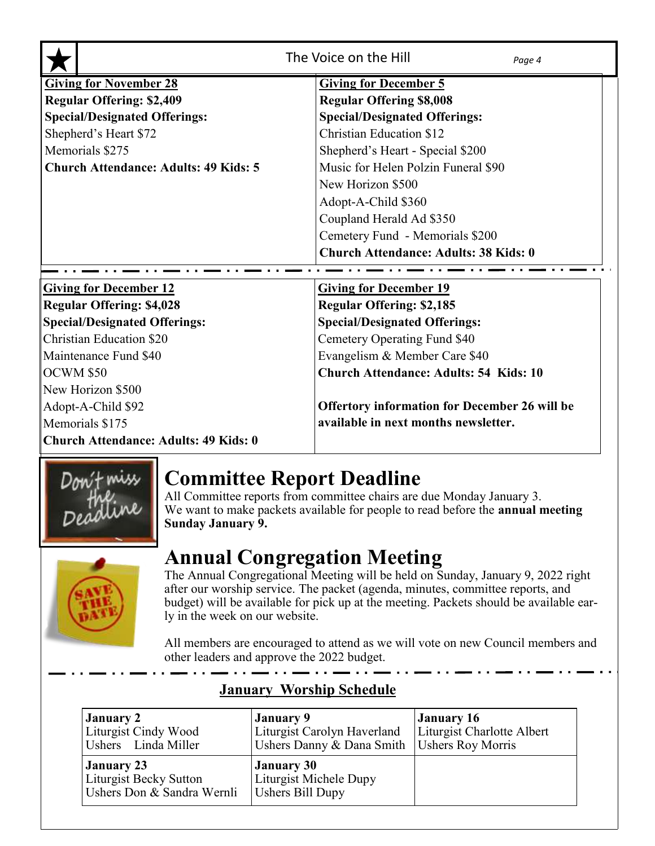|                                                                | The Voice on the Hill<br>Page 4                      |  |  |  |
|----------------------------------------------------------------|------------------------------------------------------|--|--|--|
| <b>Giving for November 28</b>                                  | <b>Giving for December 5</b>                         |  |  |  |
| <b>Regular Offering: \$2,409</b>                               | <b>Regular Offering \$8,008</b>                      |  |  |  |
| <b>Special/Designated Offerings:</b>                           | <b>Special/Designated Offerings:</b>                 |  |  |  |
| Shepherd's Heart \$72                                          | <b>Christian Education \$12</b>                      |  |  |  |
| Memorials \$275                                                | Shepherd's Heart - Special \$200                     |  |  |  |
| <b>Church Attendance: Adults: 49 Kids: 5</b>                   | Music for Helen Polzin Funeral \$90                  |  |  |  |
|                                                                | New Horizon \$500                                    |  |  |  |
|                                                                | Adopt-A-Child \$360                                  |  |  |  |
|                                                                | Coupland Herald Ad \$350                             |  |  |  |
|                                                                | Cemetery Fund - Memorials \$200                      |  |  |  |
|                                                                | <b>Church Attendance: Adults: 38 Kids: 0</b>         |  |  |  |
| <b>Giving for December 12</b><br><b>Giving for December 19</b> |                                                      |  |  |  |
| <b>Regular Offering: \$4,028</b>                               | <b>Regular Offering: \$2,185</b>                     |  |  |  |
| <b>Special/Designated Offerings:</b>                           | <b>Special/Designated Offerings:</b>                 |  |  |  |
| <b>Christian Education \$20</b>                                | Cemetery Operating Fund \$40                         |  |  |  |
| Maintenance Fund \$40                                          | Evangelism & Member Care \$40                        |  |  |  |
| OCWM \$50                                                      | <b>Church Attendance: Adults: 54 Kids: 10</b>        |  |  |  |
| New Horizon \$500                                              |                                                      |  |  |  |
| Adopt-A-Child \$92                                             | <b>Offertory information for December 26 will be</b> |  |  |  |
| Memorials \$175                                                | available in next months newsletter.                 |  |  |  |
| <b>Church Attendance: Adults: 49 Kids: 0</b>                   |                                                      |  |  |  |



## **Committee Report Deadline**

All Committee reports from committee chairs are due Monday January 3. We want to make packets available for people to read before the **annual meeting Sunday January 9.**

# **Annual Congregation Meeting**



The Annual Congregational Meeting will be held on Sunday, January 9, 2022 right after our worship service. The packet (agenda, minutes, committee reports, and budget) will be available for pick up at the meeting. Packets should be available early in the week on our website.

All members are encouraged to attend as we will vote on new Council members and other leaders and approve the 2022 budget.

| <b>January 2</b>                                                          | January 9                                                              | January 16                 |
|---------------------------------------------------------------------------|------------------------------------------------------------------------|----------------------------|
| Liturgist Cindy Wood                                                      | Liturgist Carolyn Haverland                                            | Liturgist Charlotte Albert |
| Ushers Linda Miller                                                       | Ushers Danny & Dana Smith                                              | Ushers Roy Morris          |
| <b>January 23</b><br>Liturgist Becky Sutton<br>Ushers Don & Sandra Wernli | <b>January 30</b><br>Liturgist Michele Dupy<br><b>Ushers Bill Dupy</b> |                            |

## **January Worship Schedule**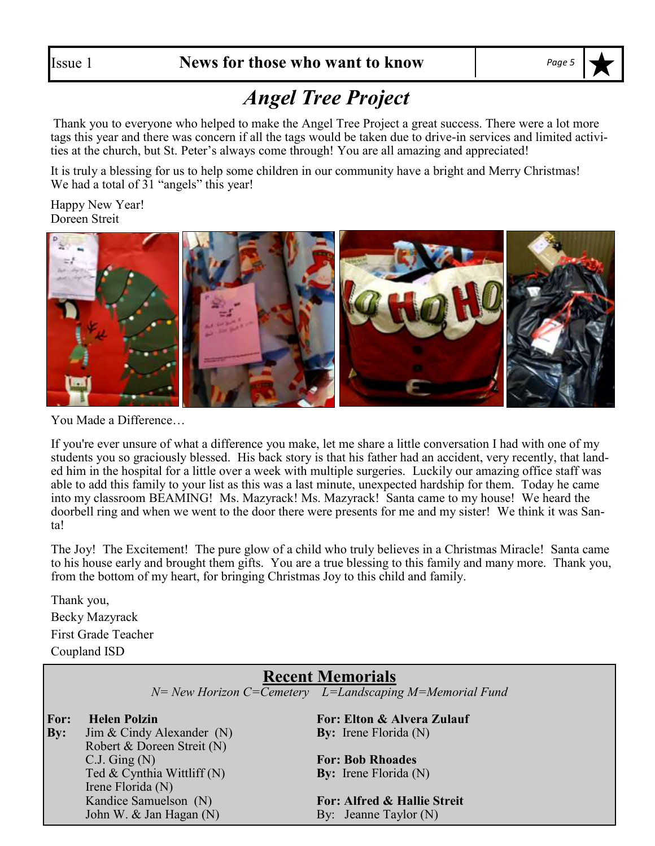## *Angel Tree Project*

Thank you to everyone who helped to make the Angel Tree Project a great success. There were a lot more tags this year and there was concern if all the tags would be taken due to drive-in services and limited activities at the church, but St. Peter's always come through! You are all amazing and appreciated!

It is truly a blessing for us to help some children in our community have a bright and Merry Christmas! We had a total of 31 "angels" this year!

Happy New Year! Doreen Streit



You Made a Difference…

If you're ever unsure of what a difference you make, let me share a little conversation I had with one of my students you so graciously blessed. His back story is that his father had an accident, very recently, that landed him in the hospital for a little over a week with multiple surgeries. Luckily our amazing office staff was able to add this family to your list as this was a last minute, unexpected hardship for them. Today he came into my classroom BEAMING! Ms. Mazyrack! Ms. Mazyrack! Santa came to my house! We heard the doorbell ring and when we went to the door there were presents for me and my sister! We think it was Santa!

The Joy! The Excitement! The pure glow of a child who truly believes in a Christmas Miracle! Santa came to his house early and brought them gifts. You are a true blessing to this family and many more. Thank you, from the bottom of my heart, for bringing Christmas Joy to this child and family.

Thank you, Becky Mazyrack First Grade Teacher Coupland ISD

## **Recent Memorials**

*N= New Horizon C=Cemetery L=Landscaping M=Memorial Fund*

**By:** Jim & Cindy Alexander (N) **By:** Irene Florida (N) Robert & Doreen Streit (N) C.J. Ging (N) **For: Bob Rhoades** Ted & Cynthia Wittliff (N) **By:** Irene Florida (N) Irene Florida (N) Kandice Samuelson (N) **For: Alfred & Hallie Streit**

**For: Helen Polzin For: Elton & Alvera Zulauf**

John W. & Jan Hagan (N) By: Jeanne Taylor (N)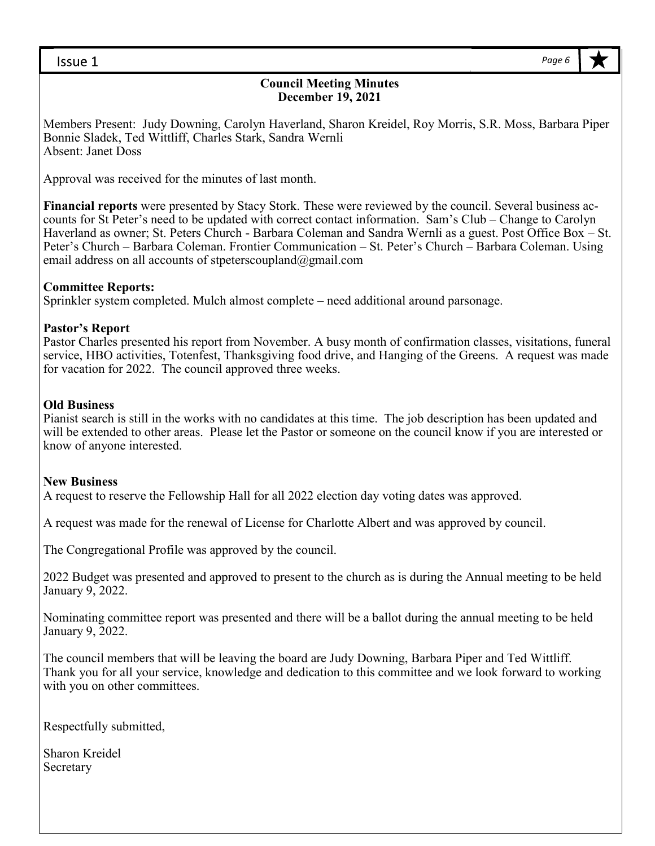#### **Council Meeting Minutes December 19, 2021**

Members Present: Judy Downing, Carolyn Haverland, Sharon Kreidel, Roy Morris, S.R. Moss, Barbara Piper Bonnie Sladek, Ted Wittliff, Charles Stark, Sandra Wernli Absent: Janet Doss

Approval was received for the minutes of last month.

**Financial reports** were presented by Stacy Stork. These were reviewed by the council. Several business accounts for St Peter's need to be updated with correct contact information. Sam's Club – Change to Carolyn Haverland as owner; St. Peters Church - Barbara Coleman and Sandra Wernli as a guest. Post Office Box – St. Peter's Church – Barbara Coleman. Frontier Communication – St. Peter's Church – Barbara Coleman. Using email address on all accounts of stpeterscoupland@gmail.com

#### **Committee Reports:**

Sprinkler system completed. Mulch almost complete – need additional around parsonage.

#### **Pastor's Report**

Pastor Charles presented his report from November. A busy month of confirmation classes, visitations, funeral service, HBO activities, Totenfest, Thanksgiving food drive, and Hanging of the Greens. A request was made for vacation for 2022. The council approved three weeks.

#### **Old Business**

Pianist search is still in the works with no candidates at this time. The job description has been updated and will be extended to other areas. Please let the Pastor or someone on the council know if you are interested or know of anyone interested.

#### **New Business**

A request to reserve the Fellowship Hall for all 2022 election day voting dates was approved.

A request was made for the renewal of License for Charlotte Albert and was approved by council.

The Congregational Profile was approved by the council.

2022 Budget was presented and approved to present to the church as is during the Annual meeting to be held January 9, 2022.

Nominating committee report was presented and there will be a ballot during the annual meeting to be held January 9, 2022.

The council members that will be leaving the board are Judy Downing, Barbara Piper and Ted Wittliff. Thank you for all your service, knowledge and dedication to this committee and we look forward to working with you on other committees.

Respectfully submitted,

Sharon Kreidel Secretary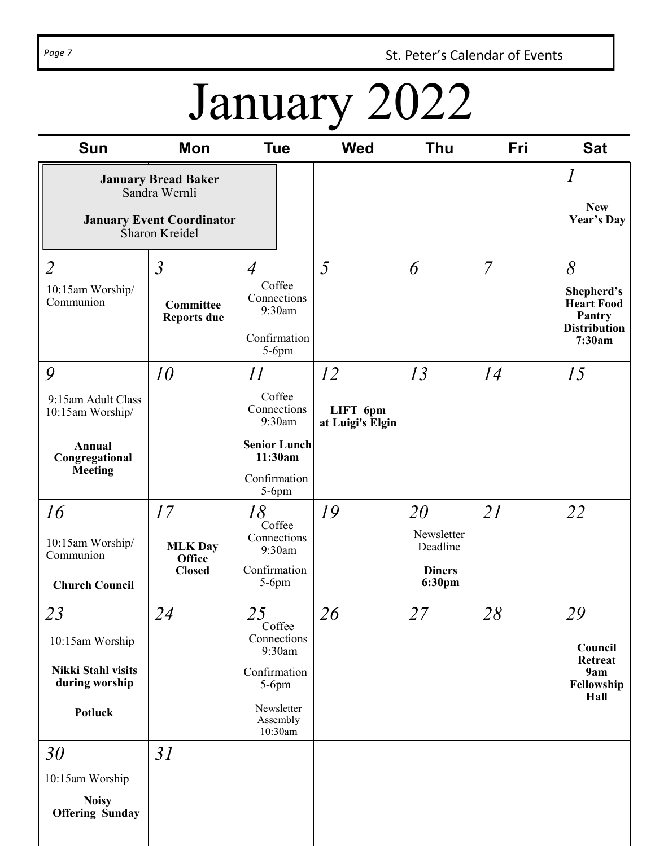Page 7 **St. Peter's Calendar of Events** 

# January 2022

| <b>Sun</b>                                                                                        | Mon                                                      | <b>Tue</b>                                                                                                                                            | <b>Wed</b>                         | <b>Thu</b>                                              | Fri            | <b>Sat</b>                                                                      |
|---------------------------------------------------------------------------------------------------|----------------------------------------------------------|-------------------------------------------------------------------------------------------------------------------------------------------------------|------------------------------------|---------------------------------------------------------|----------------|---------------------------------------------------------------------------------|
| <b>January Bread Baker</b><br>Sandra Wernli<br><b>January Event Coordinator</b><br>Sharon Kreidel |                                                          |                                                                                                                                                       |                                    |                                                         |                | $\boldsymbol{l}$<br><b>New</b><br><b>Year's Day</b>                             |
| $\overline{2}$<br>10:15am Worship/<br>Communion                                                   | $\overline{3}$<br><b>Committee</b><br><b>Reports due</b> | $\overline{4}$<br>Coffee<br>Connections<br>9:30am<br>Confirmation<br>$5-6$ pm                                                                         | 5                                  | 6                                                       | $\overline{7}$ | 8<br>Shepherd's<br><b>Heart Food</b><br>Pantry<br><b>Distribution</b><br>7:30am |
| 9<br>9:15am Adult Class<br>10:15am Worship/<br>Annual<br>Congregational<br><b>Meeting</b>         | 10                                                       | $\mathcal{H}% _{M_{1},M_{2}}^{(e,\sigma)}(\varepsilon)$<br>Coffee<br>Connections<br>9:30am<br><b>Senior Lunch</b><br>11:30am<br>Confirmation<br>5-6pm | 12<br>LIFT 6pm<br>at Luigi's Elgin | 13                                                      | 14             | 15                                                                              |
| 16<br>10:15am Worship/<br>Communion<br><b>Church Council</b>                                      | 17<br><b>MLK Day</b><br><b>Office</b><br><b>Closed</b>   | 18<br>Coffee<br>Connections<br>9:30am<br>Confirmation<br>$5-6$ pm                                                                                     | 19                                 | 20<br>Newsletter<br>Deadline<br><b>Diners</b><br>6:30pm | 21             | 22                                                                              |
| 23<br>10:15am Worship<br><b>Nikki Stahl visits</b><br>during worship<br>Potluck                   | 24                                                       | 25<br>Coffee<br>Connections<br>9:30am<br>Confirmation<br>$5-6$ pm<br>Newsletter<br>Assembly<br>10:30am                                                | 26                                 | 27                                                      | 28             | 29<br>Council<br><b>Retreat</b><br>9am<br>Fellowship<br>Hall                    |
| 30<br>10:15am Worship<br><b>Noisy</b><br><b>Offering Sunday</b>                                   | 31                                                       |                                                                                                                                                       |                                    |                                                         |                |                                                                                 |